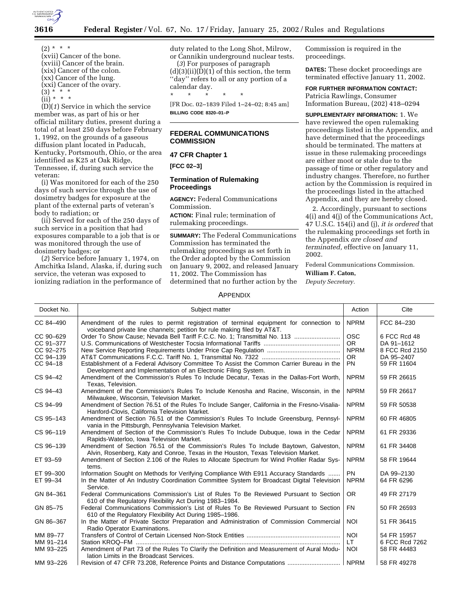

- $(2) * * * *$ (xvii) Cancer of the bone.
- (xviii) Cancer of the brain. (xix) Cancer of the colon. (xx) Cancer of the lung.

(xxi) Cancer of the ovary.

(3) \* \* \*

(ii) \* \* \*

(D)(*1*) Service in which the service member was, as part of his or her official military duties, present during a total of at least 250 days before February 1, 1992, on the grounds of a gaseous diffusion plant located in Paducah, Kentucky, Portsmouth, Ohio, or the area identified as K25 at Oak Ridge, Tennessee, if, during such service the veteran:

(i) Was monitored for each of the 250 days of such service through the use of dosimetry badges for exposure at the plant of the external parts of veteran's body to radiation; or

(ii) Served for each of the 250 days of such service in a position that had exposures comparable to a job that is or was monitored through the use of dosimetry badges; or

(*2*) Service before January 1, 1974, on Amchitka Island, Alaska, if, during such service, the veteran was exposed to ionizing radiation in the performance of duty related to the Long Shot, Milrow, or Cannikin underground nuclear tests. (*3*) For purposes of paragraph

 $(d)(3)(ii)(D)(1)$  of this section, the term "day" refers to all or any portion of a calendar day.

\* \* \* \* \* [FR Doc. 02–1839 Filed 1–24–02; 8:45 am] **BILLING CODE 8320–01–P**

## **FEDERAL COMMUNICATIONS COMMISSION**

## **47 CFR Chapter 1**

**[FCC 02–3]**

## **Termination of Rulemaking Proceedings**

**AGENCY:** Federal Communications Commission.

**ACTION:** Final rule; termination of rulemaking proceedings.

**SUMMARY:** The Federal Communications Commission has terminated the rulemaking proceedings as set forth in the Order adopted by the Commission on January 9, 2002, and released January 11, 2002. The Commission has determined that no further action by the

Commission is required in the proceedings.

**DATES:** These docket proceedings are terminated effective January 11, 2002.

**FOR FURTHER INFORMATION CONTACT:** Patricia Rawlings, Consumer Information Bureau, (202) 418–0294

**SUPPLEMENTARY INFORMATION:** 1. We have reviewed the open rulemaking proceedings listed in the Appendix, and have determined that the proceedings should be terminated. The matters at issue in these rulemaking proceedings are either moot or stale due to the passage of time or other regulatory and industry changes. Therefore, no further action by the Commission is required in the proceedings listed in the attached Appendix, and they are hereby closed.

2. Accordingly, pursuant to sections 4(i) and 4(j) of the Communications Act, 47 U.S.C. 154(i) and (j), *it is ordered* that the rulemaking proceedings set forth in the Appendix *are closed and terminated,* effective on January 11, 2002.

Federal Communications Commission. **William F. Caton,**

*Deputy Secretary.*

## APPENDIX

| Docket No. | Subject matter                                                                                                                                                           | Action      | Cite           |
|------------|--------------------------------------------------------------------------------------------------------------------------------------------------------------------------|-------------|----------------|
| CC 84-490  | Amendment of the rules to permit registration of terminal equipment for connection to                                                                                    | <b>NPRM</b> | FCC 84-230     |
| CC 90-629  | voiceband private line channels; petition for rule making filed by AT&T.<br>Order To Show Cause; Nevada Bell Tariff F.C.C. No. 1; Transmittal No. 113                    | <b>OSC</b>  | 6 FCC Rcd 48   |
| CC 91-377  |                                                                                                                                                                          | <b>OR</b>   | DA 91-1612     |
| CC 92-275  |                                                                                                                                                                          | <b>NPRM</b> | 8 FCC Rcd 2150 |
| CC 94-139  |                                                                                                                                                                          | <b>OR</b>   | DA 95-2407     |
| $CC94-18$  | Establishment of a Federal Advisory Committee To Assist the Common Carrier Bureau in the<br>Development and Implementation of an Electronic Filing System.               | <b>PN</b>   | 59 FR 11604    |
| CS 94-42   | Amendment of the Commission's Rules To Include Decatur, Texas in the Dallas-Fort Worth,<br>Texas, Television.                                                            | <b>NPRM</b> | 59 FR 26615    |
| CS 94-43   | Amendment of the Commission's Rules To Include Kenosha and Racine, Wisconsin, in the<br>Milwaukee, Wisconsin, Television Market.                                         | <b>NPRM</b> | 59 FR 26617    |
| CS 94-99   | Amendment of Section 76.51 of the Rules To Include Sanger, California in the Fresno-Visalia-<br>Hanford-Clovis, California Television Market.                            | <b>NPRM</b> | 59 FR 50538    |
| CS 95-143  | Amendment of Section 76.51 of the Commission's Rules To Include Greensburg, Pennsyl-<br>vania in the Pittsburgh, Pennsylvania Television Market.                         | <b>NPRM</b> | 60 FR 46805    |
| CS 96-119  | Amendment of Section of the Commission's Rules To Include Dubuque, Iowa in the Cedar<br>Rapids-Waterloo, Iowa Television Market.                                         | <b>NPRM</b> | 61 FR 29336    |
| CS 96-139  | Amendment of Section 76.51 of the Commission's Rules To Include Baytown, Galveston,<br>Alvin, Rosenberg, Katy and Conroe, Texas in the Houston, Texas Television Market. | <b>NPRM</b> | 61 FR 34408    |
| ET 93-59   | Amendment of Section 2.106 of the Rules to Allocate Spectrum for Wind Profiler Radar Sys-<br>tems.                                                                       | <b>NPRM</b> | 58 FR 19644    |
| ET 99-300  | Information Sought on Methods for Verifying Compliance With E911 Accuracy Standards                                                                                      | <b>PN</b>   | DA 99-2130     |
| ET 99-34   | In the Matter of An Industry Coordination Committee System for Broadcast Digital Television<br>Service.                                                                  | <b>NPRM</b> | 64 FR 6296     |
| GN 84-361  | Federal Communications Commission's List of Rules To Be Reviewed Pursuant to Section<br>610 of the Regulatory Flexibility Act During 1983-1984.                          | OR.         | 49 FR 27179    |
| GN 85-75   | Federal Communications Commission's List of Rules To Be Reviewed Pursuant to Section<br>610 of the Regulatory Flexibility Act During 1985–1986.                          | <b>FN</b>   | 50 FR 26593    |
| GN 86-367  | In the Matter of Private Sector Preparation and Administration of Commission Commercial<br>Radio Operator Examinations.                                                  | <b>NOI</b>  | 51 FR 36415    |
| MM 89-77   |                                                                                                                                                                          | <b>NOI</b>  | 54 FR 15957    |
| MM 91-214  |                                                                                                                                                                          | LT.         | 6 FCC Rcd 7262 |
| MM 93-225  | Amendment of Part 73 of the Rules To Clarify the Definition and Measurement of Aural Modu-<br>lation Limits in the Broadcast Services.                                   | <b>NOI</b>  | 58 FR 44483    |
| MM 93-226  |                                                                                                                                                                          | <b>NPRM</b> | 58 FR 49278    |